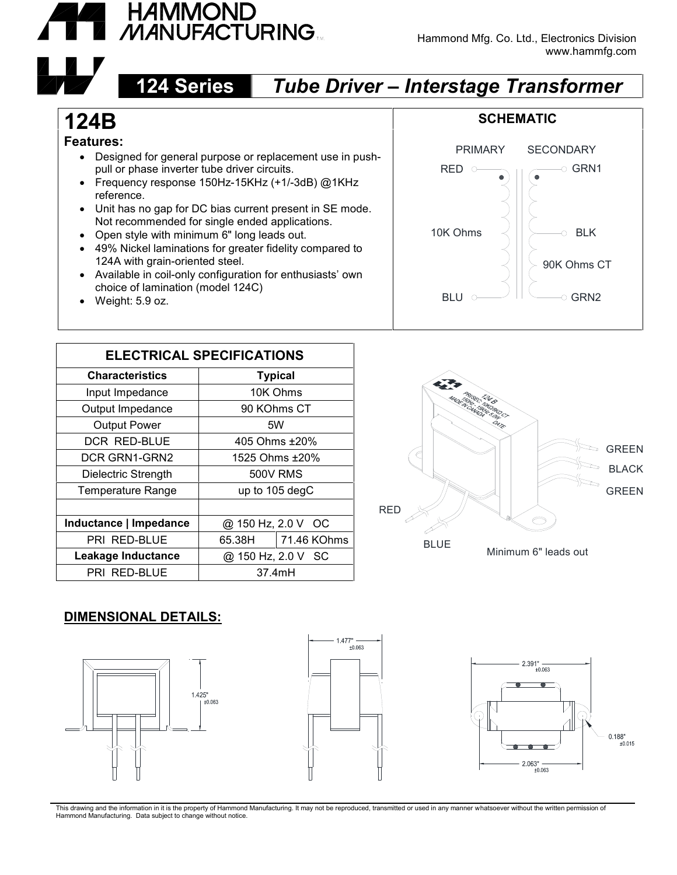

#### Hammond Mfg. Co. Ltd., Electronics Division www.hammfg.com

## **124 Series** *Tube Driver – Interstage Transformer*

# **124B**

#### **Features:**

- Designed for general purpose or replacement use in push pull or phase inverter tube driver circuits.
- Frequency response 150Hz-15KHz (+1/-3dB) @1KHz reference.
- Unit has no gap for DC bias current present in SE mode. Not recommended for single ended applications.
- Open style with minimum 6" long leads out.
- 49% Nickel laminations for greater fidelity compared to 124A with grain-oriented steel.
- Available in coil-only configuration for enthusiasts' own choice of lamination (model 124C)
- Weight: 5.9 oz.

| <b>ELECTRICAL SPECIFICATIONS</b> |                    |             |
|----------------------------------|--------------------|-------------|
| <b>Characteristics</b>           | <b>Typical</b>     |             |
| Input Impedance                  | 10K Ohms           |             |
| Output Impedance                 | 90 KOhms CT        |             |
| <b>Output Power</b>              | 5W                 |             |
| <b>DCR RED-BLUE</b>              | 405 Ohms ±20%      |             |
| DCR GRN1-GRN2                    | 1525 Ohms ±20%     |             |
| Dielectric Strength              | 500V RMS           |             |
| Temperature Range                | up to 105 degC     |             |
|                                  |                    |             |
| Inductance   Impedance           | @ 150 Hz, 2.0 V OC |             |
| PRI RED-BLUE                     | 65.38H             | 71.46 KOhms |
| Leakage Inductance               | @ 150 Hz, 2.0 V SC |             |
| PRI RED-BLUE                     | 37.4mH             |             |
|                                  |                    |             |



BLU  $\circ$   $\qquad$   $\qquad$   $\circ$   $\circ$  GRN2

GRN2 |

RED  $\circ$   $\qquad$   $\circ$   $\circ$  GRN1  $\qquad$  |

GRN1

PRIMARY SECONDARY

90K Ohms CT

10K Ohms  $\vert\vert\vert\vert\vert$   $\rightarrow$  BLK  $\vert\vert\vert$ 

### **DIMENSIONAL DETAILS:**







This drawing and the information in it is the property of Hammond Manufacturing. It may not be reproduced, transmitted or used in any manner whatsoever without the written permission of Hammond Manufacturing. Data subject to change without notice.

### **SCHEMATIC**